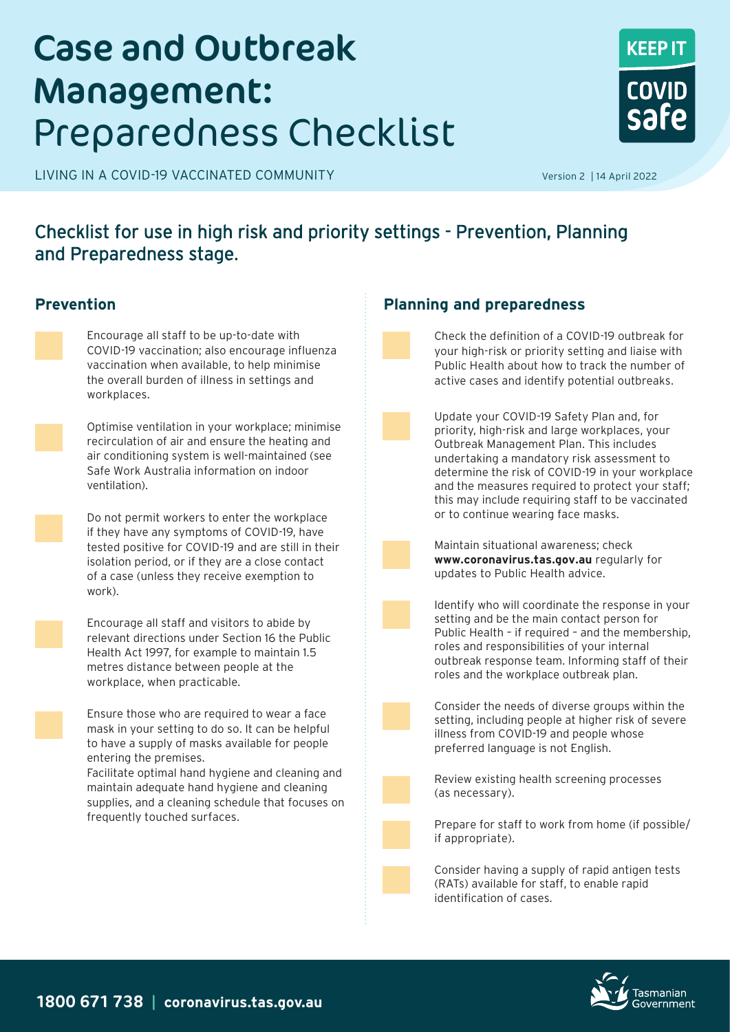# Case and Outbreak Management: Preparedness Checklist

LIVING IN A COVID-19 VACCINATED COMMUNITY **And COVID-19 Version 2** | 14 April 2022



### Checklist for use in high risk and priority settings - Prevention, Planning and Preparedness stage.



Encourage all staff to be up-to-date with COVID-19 vaccination; also encourage influenza vaccination when available, to help minimise the overall burden of illness in settings and workplaces.



Optimise ventilation in your workplace; minimise recirculation of air and ensure the heating and air conditioning system is well-maintained (see Safe Work Australia information on indoor ventilation).



Do not permit workers to enter the workplace if they have any symptoms of COVID-19, have tested positive for COVID-19 and are still in their isolation period, or if they are a close contact of a case (unless they receive exemption to work).



Encourage all staff and visitors to abide by relevant directions under Section 16 the Public Health Act 1997, for example to maintain 1.5 metres distance between people at the workplace, when practicable.

Ensure those who are required to wear a face mask in your setting to do so. It can be helpful to have a supply of masks available for people entering the premises.

Facilitate optimal hand hygiene and cleaning and maintain adequate hand hygiene and cleaning supplies, and a cleaning schedule that focuses on frequently touched surfaces.

### **Prevention Planning and preparedness**



Check the definition of a COVID-19 outbreak for your high-risk or priority setting and liaise with Public Health about how to track the number of active cases and identify potential outbreaks.

Update your COVID-19 Safety Plan and, for priority, high-risk and large workplaces, your Outbreak Management Plan. This includes undertaking a mandatory risk assessment to determine the risk of COVID-19 in your workplace and the measures required to protect your staff; this may include requiring staff to be vaccinated or to continue wearing face masks.



Maintain situational awareness; check **www.coronavirus.tas.gov.au** regularly for updates to Public Health advice.



Identify who will coordinate the response in your setting and be the main contact person for Public Health – if required – and the membership, roles and responsibilities of your internal outbreak response team. Informing staff of their roles and the workplace outbreak plan.



Consider the needs of diverse groups within the setting, including people at higher risk of severe illness from COVID-19 and people whose preferred language is not English.

Review existing health screening processes (as necessary).

Prepare for staff to work from home (if possible/ if appropriate).

Consider having a supply of rapid antigen tests (RATs) available for staff, to enable rapid identification of cases.